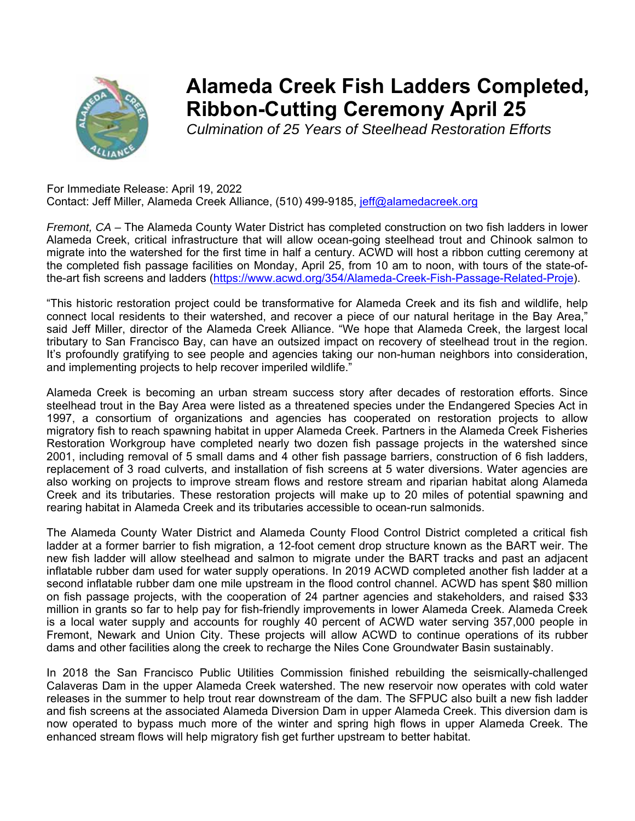

## **Alameda Creek Fish Ladders Completed, Ribbon-Cutting Ceremony April 25**

*Culmination of 25 Years of Steelhead Restoration Efforts*

 For Immediate Release: April 19, 2022 Contact: Jeff Miller, Alameda Creek Alliance, (510) 499-9185, jeff@alamedacreek.org

*Fremont, CA –* The Alameda County Water District has completed construction on two fish ladders in lower Alameda Creek, critical infrastructure that will allow ocean-going steelhead trout and Chinook salmon to migrate into the watershed for the first time in half a century. ACWD will host a ribbon cutting ceremony at the completed fish passage facilities on Monday, April 25, from 10 am to noon, with tours of the state-ofthe-art fish screens and ladders (https://www.acwd.org/354/Alameda-Creek-Fish-Passage-Related-Proje).

"This historic restoration project could be transformative for Alameda Creek and its fish and wildlife, help connect local residents to their watershed, and recover a piece of our natural heritage in the Bay Area," said Jeff Miller, director of the Alameda Creek Alliance. "We hope that Alameda Creek, the largest local tributary to San Francisco Bay, can have an outsized impact on recovery of steelhead trout in the region. It's profoundly gratifying to see people and agencies taking our non-human neighbors into consideration, and implementing projects to help recover imperiled wildlife."

Alameda Creek is becoming an urban stream success story after decades of restoration efforts. Since steelhead trout in the Bay Area were listed as a threatened species under the Endangered Species Act in 1997, a consortium of organizations and agencies has cooperated on restoration projects to allow migratory fish to reach spawning habitat in upper Alameda Creek. Partners in the Alameda Creek Fisheries Restoration Workgroup have completed nearly two dozen fish passage projects in the watershed since 2001, including removal of 5 small dams and 4 other fish passage barriers, construction of 6 fish ladders, replacement of 3 road culverts, and installation of fish screens at 5 water diversions. Water agencies are also working on projects to improve stream flows and restore stream and riparian habitat along Alameda Creek and its tributaries. These restoration projects will make up to 20 miles of potential spawning and rearing habitat in Alameda Creek and its tributaries accessible to ocean-run salmonids.

The Alameda County Water District and Alameda County Flood Control District completed a critical fish ladder at a former barrier to fish migration, a 12-foot cement drop structure known as the BART weir. The new fish ladder will allow steelhead and salmon to migrate under the BART tracks and past an adjacent inflatable rubber dam used for water supply operations. In 2019 ACWD completed another fish ladder at a second inflatable rubber dam one mile upstream in the flood control channel. ACWD has spent \$80 million on fish passage projects, with the cooperation of 24 partner agencies and stakeholders, and raised \$33 million in grants so far to help pay for fish-friendly improvements in lower Alameda Creek. Alameda Creek is a local water supply and accounts for roughly 40 percent of ACWD water serving 357,000 people in Fremont, Newark and Union City. These projects will allow ACWD to continue operations of its rubber dams and other facilities along the creek to recharge the Niles Cone Groundwater Basin sustainably.

In 2018 the San Francisco Public Utilities Commission finished rebuilding the seismically-challenged Calaveras Dam in the upper Alameda Creek watershed. The new reservoir now operates with cold water releases in the summer to help trout rear downstream of the dam. The SFPUC also built a new fish ladder and fish screens at the associated Alameda Diversion Dam in upper Alameda Creek. This diversion dam is now operated to bypass much more of the winter and spring high flows in upper Alameda Creek. The enhanced stream flows will help migratory fish get further upstream to better habitat.